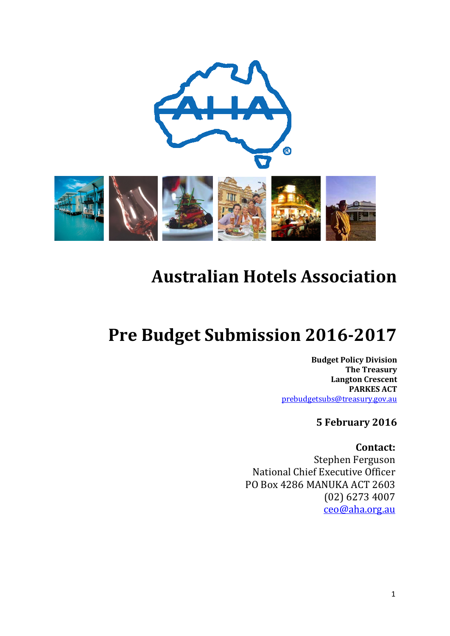

# **Australian Hotels Association**

# **Pre Budget Submission 2016-2017**

**Budget Policy Division The Treasury Langton Crescent PARKES ACT**  [prebudgetsubs@treasury.gov.au](mailto:prebudgetsubs@treasury.gov.au)

**5 February 2016**

**Contact:** Stephen Ferguson National Chief Executive Officer PO Box 4286 MANUKA ACT 2603 (02) 6273 4007 [ceo@aha.org.au](mailto:ceo@aha.org.au)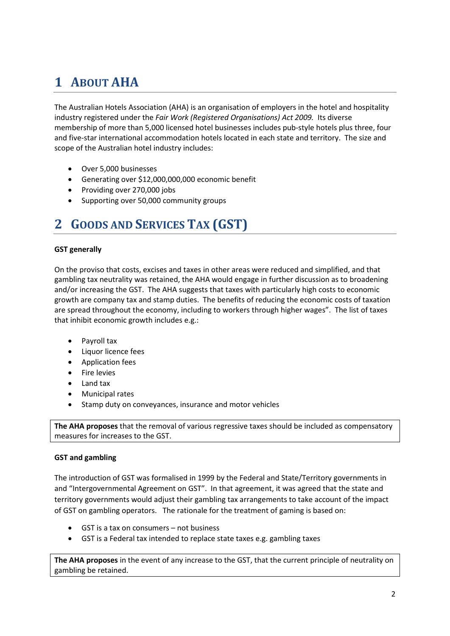# **1 ABOUT AHA**

The Australian Hotels Association (AHA) is an organisation of employers in the hotel and hospitality industry registered under the *Fair Work (Registered Organisations) Act 2009.* Its diverse membership of more than 5,000 licensed hotel businesses includes pub-style hotels plus three, four and five-star international accommodation hotels located in each state and territory. The size and scope of the Australian hotel industry includes:

- Over 5,000 businesses
- Generating over \$12,000,000,000 economic benefit
- Providing over 270,000 jobs
- Supporting over 50,000 community groups

## **2 GOODS AND SERVICES TAX (GST)**

#### **GST generally**

On the proviso that costs, excises and taxes in other areas were reduced and simplified, and that gambling tax neutrality was retained, the AHA would engage in further discussion as to broadening and/or increasing the GST. The AHA suggests that taxes with particularly high costs to economic growth are company tax and stamp duties. The benefits of reducing the economic costs of taxation are spread throughout the economy, including to workers through higher wages". The list of taxes that inhibit economic growth includes e.g.:

- Payroll tax
- Liquor licence fees
- Application fees
- Fire levies
- Land tax
- Municipal rates
- Stamp duty on conveyances, insurance and motor vehicles

**The AHA proposes** that the removal of various regressive taxes should be included as compensatory measures for increases to the GST.

#### **GST and gambling**

The introduction of GST was formalised in 1999 by the Federal and State/Territory governments in and "Intergovernmental Agreement on GST". In that agreement, it was agreed that the state and territory governments would adjust their gambling tax arrangements to take account of the impact of GST on gambling operators. The rationale for the treatment of gaming is based on:

- GST is a tax on consumers not business
- GST is a Federal tax intended to replace state taxes e.g. gambling taxes

**The AHA proposes** in the event of any increase to the GST, that the current principle of neutrality on gambling be retained.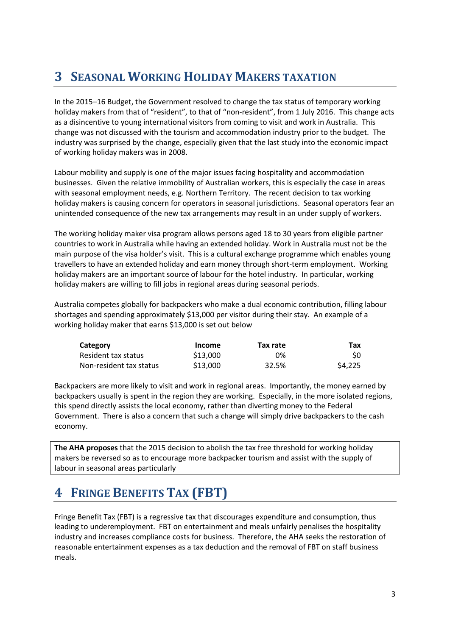# **3 SEASONAL WORKING HOLIDAY MAKERS TAXATION**

In the 2015–16 Budget, the Government resolved to change the tax status of temporary working holiday makers from that of "resident", to that of "non-resident", from 1 July 2016. This change acts as a disincentive to young international visitors from coming to visit and work in Australia. This change was not discussed with the tourism and accommodation industry prior to the budget. The industry was surprised by the change, especially given that the last study into the economic impact of working holiday makers was in 2008.

Labour mobility and supply is one of the major issues facing hospitality and accommodation businesses. Given the relative immobility of Australian workers, this is especially the case in areas with seasonal employment needs, e.g. Northern Territory. The recent decision to tax working holiday makers is causing concern for operators in seasonal jurisdictions. Seasonal operators fear an unintended consequence of the new tax arrangements may result in an under supply of workers.

The working holiday maker visa program allows persons aged 18 to 30 years from eligible partner countries to work in Australia while having an extended holiday. Work in Australia must not be the main purpose of the visa holder's visit. This is a cultural exchange programme which enables young travellers to have an extended holiday and earn money through short-term employment. Working holiday makers are an important source of labour for the hotel industry. In particular, working holiday makers are willing to fill jobs in regional areas during seasonal periods.

Australia competes globally for backpackers who make a dual economic contribution, filling labour shortages and spending approximately \$13,000 per visitor during their stay. An example of a working holiday maker that earns \$13,000 is set out below

| Category                | Income   | Tax rate | Tax     |
|-------------------------|----------|----------|---------|
| Resident tax status     | \$13,000 | 0%       | SO.     |
| Non-resident tax status | \$13,000 | 32.5%    | \$4,225 |

Backpackers are more likely to visit and work in regional areas. Importantly, the money earned by backpackers usually is spent in the region they are working. Especially, in the more isolated regions, this spend directly assists the local economy, rather than diverting money to the Federal Government. There is also a concern that such a change will simply drive backpackers to the cash economy.

**The AHA proposes** that the 2015 decision to abolish the tax free threshold for working holiday makers be reversed so as to encourage more backpacker tourism and assist with the supply of labour in seasonal areas particularly

# **4 FRINGE BENEFITS TAX (FBT)**

Fringe Benefit Tax (FBT) is a regressive tax that discourages expenditure and consumption, thus leading to underemployment. FBT on entertainment and meals unfairly penalises the hospitality industry and increases compliance costs for business. Therefore, the AHA seeks the restoration of reasonable entertainment expenses as a tax deduction and the removal of FBT on staff business meals.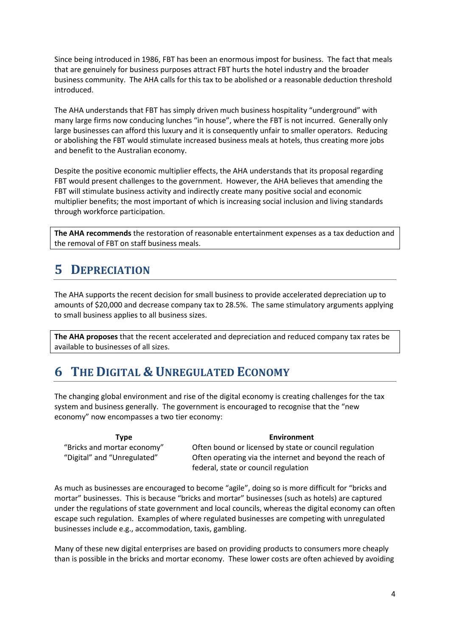Since being introduced in 1986, FBT has been an enormous impost for business. The fact that meals that are genuinely for business purposes attract FBT hurts the hotel industry and the broader business community. The AHA calls for this tax to be abolished or a reasonable deduction threshold introduced.

The AHA understands that FBT has simply driven much business hospitality "underground" with many large firms now conducing lunches "in house", where the FBT is not incurred. Generally only large businesses can afford this luxury and it is consequently unfair to smaller operators. Reducing or abolishing the FBT would stimulate increased business meals at hotels, thus creating more jobs and benefit to the Australian economy.

Despite the positive economic multiplier effects, the AHA understands that its proposal regarding FBT would present challenges to the government. However, the AHA believes that amending the FBT will stimulate business activity and indirectly create many positive social and economic multiplier benefits; the most important of which is increasing social inclusion and living standards through workforce participation.

**The AHA recommends** the restoration of reasonable entertainment expenses as a tax deduction and the removal of FBT on staff business meals.

# **5 DEPRECIATION**

The AHA supports the recent decision for small business to provide accelerated depreciation up to amounts of \$20,000 and decrease company tax to 28.5%. The same stimulatory arguments applying to small business applies to all business sizes.

**The AHA proposes** that the recent accelerated and depreciation and reduced company tax rates be available to businesses of all sizes.

## **6 THE DIGITAL & UNREGULATED ECONOMY**

The changing global environment and rise of the digital economy is creating challenges for the tax system and business generally. The government is encouraged to recognise that the "new economy" now encompasses a two tier economy:

**Type Environment** "Bricks and mortar economy" Often bound or licensed by state or council regulation "Digital" and "Unregulated" Often operating via the internet and beyond the reach of federal, state or council regulation

As much as businesses are encouraged to become "agile", doing so is more difficult for "bricks and mortar" businesses. This is because "bricks and mortar" businesses (such as hotels) are captured under the regulations of state government and local councils, whereas the digital economy can often escape such regulation. Examples of where regulated businesses are competing with unregulated businesses include e.g., accommodation, taxis, gambling.

Many of these new digital enterprises are based on providing products to consumers more cheaply than is possible in the bricks and mortar economy. These lower costs are often achieved by avoiding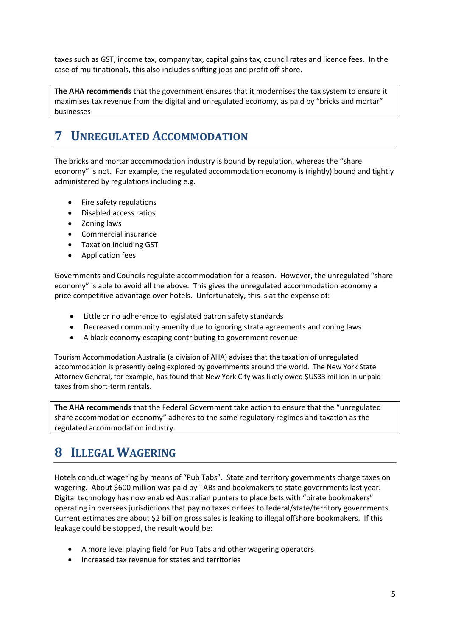taxes such as GST, income tax, company tax, capital gains tax, council rates and licence fees. In the case of multinationals, this also includes shifting jobs and profit off shore.

**The AHA recommends** that the government ensures that it modernises the tax system to ensure it maximises tax revenue from the digital and unregulated economy, as paid by "bricks and mortar" businesses

# **7 UNREGULATED ACCOMMODATION**

The bricks and mortar accommodation industry is bound by regulation, whereas the "share economy" is not. For example, the regulated accommodation economy is (rightly) bound and tightly administered by regulations including e.g.

- Fire safety regulations
- Disabled access ratios
- Zoning laws
- Commercial insurance
- Taxation including GST
- Application fees

Governments and Councils regulate accommodation for a reason. However, the unregulated "share economy" is able to avoid all the above. This gives the unregulated accommodation economy a price competitive advantage over hotels. Unfortunately, this is at the expense of:

- Little or no adherence to legislated patron safety standards
- Decreased community amenity due to ignoring strata agreements and zoning laws
- A black economy escaping contributing to government revenue

Tourism Accommodation Australia (a division of AHA) advises that the taxation of unregulated accommodation is presently being explored by governments around the world. The New York State Attorney General, for example, has found that New York City was likely owed \$US33 million in unpaid taxes from short-term rentals.

**The AHA recommends** that the Federal Government take action to ensure that the "unregulated share accommodation economy" adheres to the same regulatory regimes and taxation as the regulated accommodation industry.

#### **8 ILLEGAL WAGERING**

Hotels conduct wagering by means of "Pub Tabs". State and territory governments charge taxes on wagering. About \$600 million was paid by TABs and bookmakers to state governments last year. Digital technology has now enabled Australian punters to place bets with "pirate bookmakers" operating in overseas jurisdictions that pay no taxes or fees to federal/state/territory governments. Current estimates are about \$2 billion gross sales is leaking to illegal offshore bookmakers. If this leakage could be stopped, the result would be:

- A more level playing field for Pub Tabs and other wagering operators
- Increased tax revenue for states and territories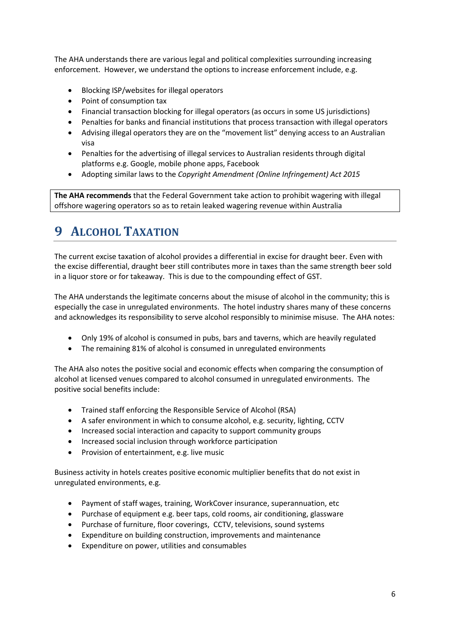The AHA understands there are various legal and political complexities surrounding increasing enforcement. However, we understand the options to increase enforcement include, e.g.

- Blocking ISP/websites for illegal operators
- Point of consumption tax
- Financial transaction blocking for illegal operators (as occurs in some US jurisdictions)
- Penalties for banks and financial institutions that process transaction with illegal operators
- Advising illegal operators they are on the "movement list" denying access to an Australian visa
- Penalties for the advertising of illegal services to Australian residents through digital platforms e.g. Google, mobile phone apps, Facebook
- Adopting similar laws to the *Copyright Amendment (Online Infringement) Act 2015*

**The AHA recommends** that the Federal Government take action to prohibit wagering with illegal offshore wagering operators so as to retain leaked wagering revenue within Australia

## **9 ALCOHOL TAXATION**

The current excise taxation of alcohol provides a differential in excise for draught beer. Even with the excise differential, draught beer still contributes more in taxes than the same strength beer sold in a liquor store or for takeaway. This is due to the compounding effect of GST.

The AHA understands the legitimate concerns about the misuse of alcohol in the community; this is especially the case in unregulated environments. The hotel industry shares many of these concerns and acknowledges its responsibility to serve alcohol responsibly to minimise misuse. The AHA notes:

- Only 19% of alcohol is consumed in pubs, bars and taverns, which are heavily regulated
- The remaining 81% of alcohol is consumed in unregulated environments

The AHA also notes the positive social and economic effects when comparing the consumption of alcohol at licensed venues compared to alcohol consumed in unregulated environments. The positive social benefits include:

- Trained staff enforcing the Responsible Service of Alcohol (RSA)
- A safer environment in which to consume alcohol, e.g. security, lighting, CCTV
- Increased social interaction and capacity to support community groups
- Increased social inclusion through workforce participation
- Provision of entertainment, e.g. live music

Business activity in hotels creates positive economic multiplier benefits that do not exist in unregulated environments, e.g.

- Payment of staff wages, training, WorkCover insurance, superannuation, etc
- Purchase of equipment e.g. beer taps, cold rooms, air conditioning, glassware
- Purchase of furniture, floor coverings, CCTV, televisions, sound systems
- Expenditure on building construction, improvements and maintenance
- Expenditure on power, utilities and consumables